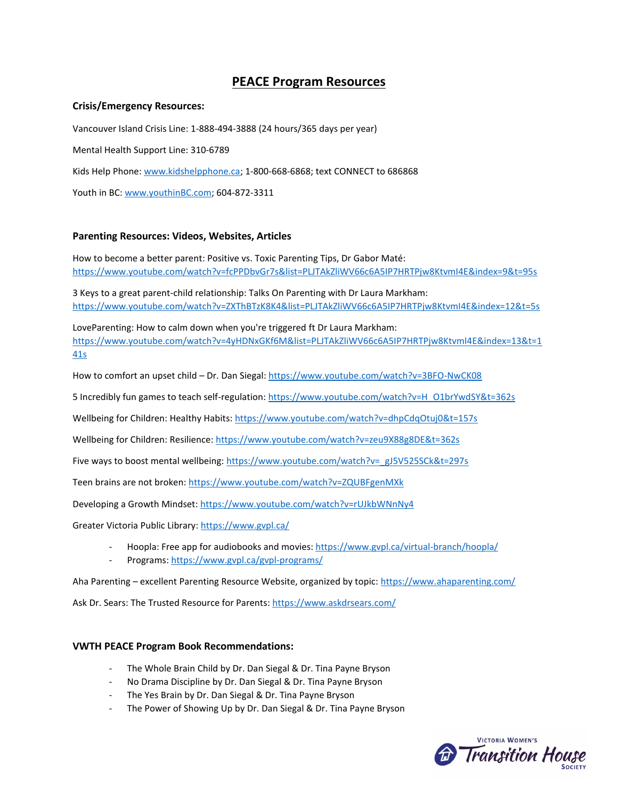# **PEACE Program Resources**

#### **Crisis/Emergency Resources:**

Vancouver Island Crisis Line: 1-888-494-3888 (24 hours/365 days per year) Mental Health Support Line: 310-6789 Kids Help Phone: [www.kidshelpphone.ca;](www.kidshelpphone.ca) 1-800-668-6868; text CONNECT to 686868 Youth in BC: [www.youthinBC.com;](www.youthinBC.com) 604-872-3311

# **Parenting Resources: Videos, Websites, Articles**

How to become a better parent: Positive vs. Toxic Parenting Tips, Dr Gabor Maté: <https://www.youtube.com/watch?v=fcPPDbvGr7s&list=PLJTAkZliWV66c6A5IP7HRTPjw8KtvmI4E&index=9&t=95s>

3 Keys to a great parent-child relationship: Talks On Parenting with Dr Laura Markham: <https://www.youtube.com/watch?v=ZXThBTzK8K4&list=PLJTAkZliWV66c6A5IP7HRTPjw8KtvmI4E&index=12&t=5s>

LoveParenting: How to calm down when you're triggered ft Dr Laura Markham: [https://www.youtube.com/watch?v=4yHDNxGKf6M&list=PLJTAkZliWV66c6A5IP7HRTPjw8KtvmI4E&index=13&t=1](https://www.youtube.com/watch?v=4yHDNxGKf6M&list=PLJTAkZliWV66c6A5IP7HRTPjw8KtvmI4E&index=13&t=141s) [41s](https://www.youtube.com/watch?v=4yHDNxGKf6M&list=PLJTAkZliWV66c6A5IP7HRTPjw8KtvmI4E&index=13&t=141s)

How to comfort an upset child – Dr. Dan Siegal:<https://www.youtube.com/watch?v=3BFO-NwCK08>

5 Incredibly fun games to teach self-regulation: [https://www.youtube.com/watch?v=H\\_O1brYwdSY&t=362s](https://www.youtube.com/watch?v=H_O1brYwdSY&t=362s)

Wellbeing for Children: Healthy Habits:<https://www.youtube.com/watch?v=dhpCdqOtuj0&t=157s>

Wellbeing for Children: Resilience:<https://www.youtube.com/watch?v=zeu9X88g8DE&t=362s>

Five ways to boost mental wellbeing[: https://www.youtube.com/watch?v=\\_gJ5V525SCk&t=297s](https://www.youtube.com/watch?v=_gJ5V525SCk&t=297s)

Teen brains are not broken:<https://www.youtube.com/watch?v=ZQUBFgenMXk>

Developing a Growth Mindset[: https://www.youtube.com/watch?v=rUJkbWNnNy4](https://www.youtube.com/watch?v=rUJkbWNnNy4)

Greater Victoria Public Library:<https://www.gvpl.ca/>

- Hoopla: Free app for audiobooks and movies:<https://www.gvpl.ca/virtual-branch/hoopla/>
- Programs:<https://www.gvpl.ca/gvpl-programs/>

Aha Parenting – excellent Parenting Resource Website, organized by topic:<https://www.ahaparenting.com/>

Ask Dr. Sears: The Trusted Resource for Parents:<https://www.askdrsears.com/>

# **VWTH PEACE Program Book Recommendations:**

- The Whole Brain Child by Dr. Dan Siegal & Dr. Tina Payne Bryson
- No Drama Discipline by Dr. Dan Siegal & Dr. Tina Payne Bryson
- The Yes Brain by Dr. Dan Siegal & Dr. Tina Payne Bryson
- The Power of Showing Up by Dr. Dan Siegal & Dr. Tina Payne Bryson

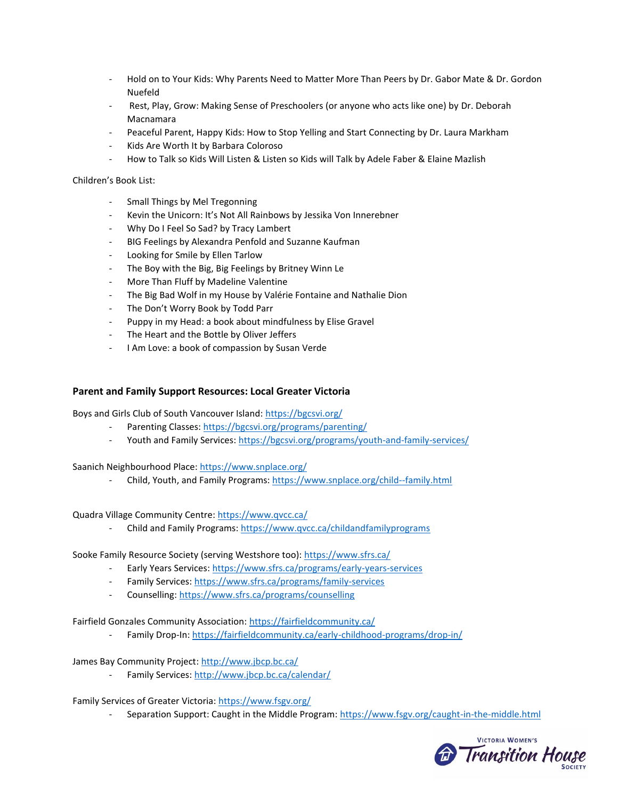- Hold on to Your Kids: Why Parents Need to Matter More Than Peers by Dr. Gabor Mate & Dr. Gordon Nuefeld
- Rest, Play, Grow: Making Sense of Preschoolers (or anyone who acts like one) by Dr. Deborah Macnamara
- Peaceful Parent, Happy Kids: How to Stop Yelling and Start Connecting by Dr. Laura Markham
- Kids Are Worth It by Barbara Coloroso
- How to Talk so Kids Will Listen & Listen so Kids will Talk by Adele Faber & Elaine Mazlish

Children's Book List:

- Small Things by Mel Tregonning
- Kevin the Unicorn: It's Not All Rainbows by Jessika Von Innerebner
- Why Do I Feel So Sad? by Tracy Lambert
- BIG Feelings by Alexandra Penfold and Suzanne Kaufman
- Looking for Smile by Ellen Tarlow
- The Boy with the Big, Big Feelings by Britney Winn Le
- More Than Fluff by Madeline Valentine
- The Big Bad Wolf in my House by Valérie Fontaine and Nathalie Dion
- The Don't Worry Book by Todd Parr
- Puppy in my Head: a book about mindfulness by Elise Gravel
- The Heart and the Bottle by Oliver Jeffers
- I Am Love: a book of compassion by Susan Verde

## **Parent and Family Support Resources: Local Greater Victoria**

Boys and Girls Club of South Vancouver Island:<https://bgcsvi.org/>

- Parenting Classes[: https://bgcsvi.org/programs/parenting/](https://bgcsvi.org/programs/parenting/)
- Youth and Family Services[: https://bgcsvi.org/programs/youth-and-family-services/](https://bgcsvi.org/programs/youth-and-family-services/)

Saanich Neighbourhood Place:<https://www.snplace.org/>

- Child, Youth, and Family Programs:<https://www.snplace.org/child--family.html>

Quadra Village Community Centre[: https://www.qvcc.ca/](https://www.qvcc.ca/)

- Child and Family Programs[: https://www.qvcc.ca/childandfamilyprograms](https://www.qvcc.ca/childandfamilyprograms)

Sooke Family Resource Society (serving Westshore too)[: https://www.sfrs.ca/](https://www.sfrs.ca/)

- Early Years Services[: https://www.sfrs.ca/programs/early-years-services](https://www.sfrs.ca/programs/early-years-services)
- Family Services[: https://www.sfrs.ca/programs/family-services](https://www.sfrs.ca/programs/family-services)
- Counselling:<https://www.sfrs.ca/programs/counselling>

Fairfield Gonzales Community Association:<https://fairfieldcommunity.ca/>

Family Drop-In[: https://fairfieldcommunity.ca/early-childhood-programs/drop-in/](https://fairfieldcommunity.ca/early-childhood-programs/drop-in/)

James Bay Community Project[: http://www.jbcp.bc.ca/](http://www.jbcp.bc.ca/)

- Family Services[: http://www.jbcp.bc.ca/calendar/](http://www.jbcp.bc.ca/calendar/)

Family Services of Greater Victoria[: https://www.fsgv.org/](https://www.fsgv.org/)

- Separation Support: Caught in the Middle Program:<https://www.fsgv.org/caught-in-the-middle.html>

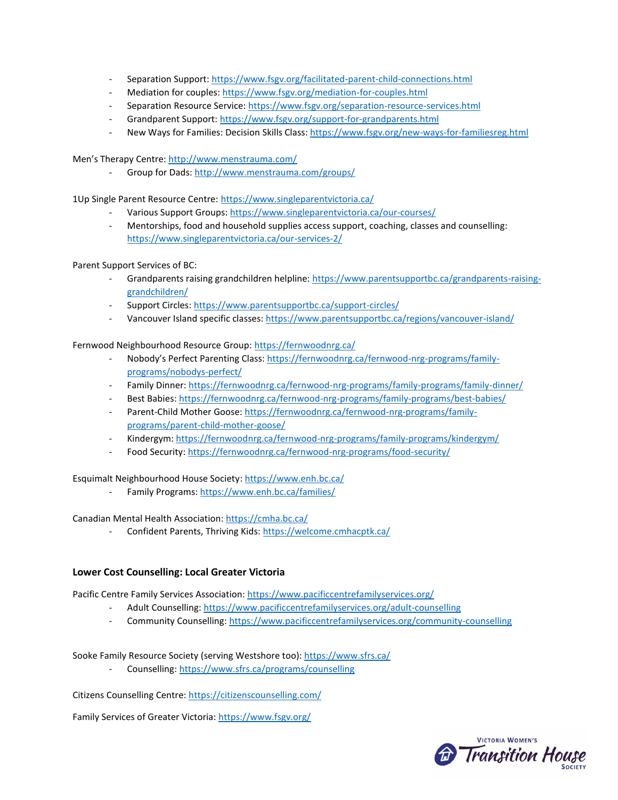- Separation Support[: https://www.fsgv.org/facilitated-parent-child-connections.html](https://www.fsgv.org/facilitated-parent-child-connections.html)
- Mediation for couples[: https://www.fsgv.org/mediation-for-couples.html](https://www.fsgv.org/mediation-for-couples.html)
- Separation Resource Service:<https://www.fsgv.org/separation-resource-services.html>
- Grandparent Support:<https://www.fsgv.org/support-for-grandparents.html>
- New Ways for Families: Decision Skills Class[: https://www.fsgv.org/new-ways-for-familiesreg.html](https://www.fsgv.org/new-ways-for-familiesreg.html)

Men's Therapy Centre: <http://www.menstrauma.com/>

- Group for Dads:<http://www.menstrauma.com/groups/>

1Up Single Parent Resource Centre: <https://www.singleparentvictoria.ca/>

- Various Support Groups:<https://www.singleparentvictoria.ca/our-courses/>
- Mentorships, food and household supplies access support, coaching, classes and counselling: <https://www.singleparentvictoria.ca/our-services-2/>

Parent Support Services of BC:

- Grandparents raising grandchildren helpline[: https://www.parentsupportbc.ca/grandparents-raising](https://www.parentsupportbc.ca/grandparents-raising-grandchildren/)[grandchildren/](https://www.parentsupportbc.ca/grandparents-raising-grandchildren/)
- Support Circles:<https://www.parentsupportbc.ca/support-circles/>
- Vancouver Island specific classes[: https://www.parentsupportbc.ca/regions/vancouver-island/](https://www.parentsupportbc.ca/regions/vancouver-island/)

Fernwood Neighbourhood Resource Group: <https://fernwoodnrg.ca/>

- Nobody's Perfect Parenting Class: [https://fernwoodnrg.ca/fernwood-nrg-programs/family](https://fernwoodnrg.ca/fernwood-nrg-programs/family-programs/nobodys-perfect/)[programs/nobodys-perfect/](https://fernwoodnrg.ca/fernwood-nrg-programs/family-programs/nobodys-perfect/)
- Family Dinner:<https://fernwoodnrg.ca/fernwood-nrg-programs/family-programs/family-dinner/>
- Best Babies[: https://fernwoodnrg.ca/fernwood-nrg-programs/family-programs/best-babies/](https://fernwoodnrg.ca/fernwood-nrg-programs/family-programs/best-babies/)
- Parent-Child Mother Goose[: https://fernwoodnrg.ca/fernwood-nrg-programs/family](https://fernwoodnrg.ca/fernwood-nrg-programs/family-programs/parent-child-mother-goose/)[programs/parent-child-mother-goose/](https://fernwoodnrg.ca/fernwood-nrg-programs/family-programs/parent-child-mother-goose/)
- Kindergym[: https://fernwoodnrg.ca/fernwood-nrg-programs/family-programs/kindergym/](https://fernwoodnrg.ca/fernwood-nrg-programs/family-programs/kindergym/)
- Food Security:<https://fernwoodnrg.ca/fernwood-nrg-programs/food-security/>

Esquimalt Neighbourhood House Society[: https://www.enh.bc.ca/](https://www.enh.bc.ca/)

Family Programs[: https://www.enh.bc.ca/families/](https://www.enh.bc.ca/families/)

Canadian Mental Health Association:<https://cmha.bc.ca/>

Confident Parents, Thriving Kids[: https://welcome.cmhacptk.ca/](https://welcome.cmhacptk.ca/)

# **Lower Cost Counselling: Local Greater Victoria**

Pacific Centre Family Services Association:<https://www.pacificcentrefamilyservices.org/>

- Adult Counselling:<https://www.pacificcentrefamilyservices.org/adult-counselling>
- Community Counselling:<https://www.pacificcentrefamilyservices.org/community-counselling>

Sooke Family Resource Society (serving Westshore too)[: https://www.sfrs.ca/](https://www.sfrs.ca/)

- Counselling:<https://www.sfrs.ca/programs/counselling>

Citizens Counselling Centre:<https://citizenscounselling.com/>

Family Services of Greater Victoria[: https://www.fsgv.org/](https://www.fsgv.org/)

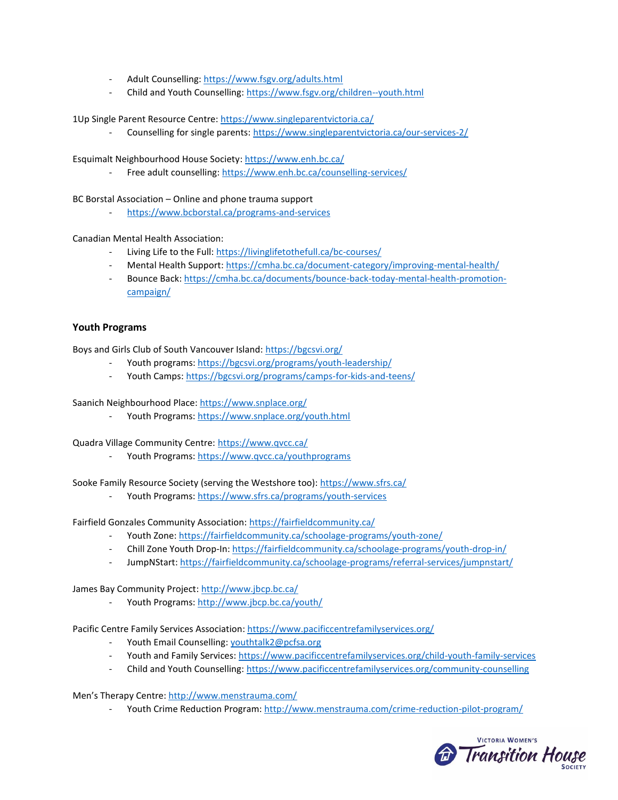- Adult Counselling:<https://www.fsgv.org/adults.html>
- Child and Youth Counselling:<https://www.fsgv.org/children--youth.html>

1Up Single Parent Resource Centre:<https://www.singleparentvictoria.ca/>

Counselling for single parents:<https://www.singleparentvictoria.ca/our-services-2/>

Esquimalt Neighbourhood House Society[: https://www.enh.bc.ca/](https://www.enh.bc.ca/)

Free adult counselling:<https://www.enh.bc.ca/counselling-services/>

BC Borstal Association – Online and phone trauma support

<https://www.bcborstal.ca/programs-and-services>

Canadian Mental Health Association:

- Living Life to the Full[: https://livinglifetothefull.ca/bc-courses/](https://livinglifetothefull.ca/bc-courses/)
- Mental Health Support:<https://cmha.bc.ca/document-category/improving-mental-health/>
- Bounce Back[: https://cmha.bc.ca/documents/bounce-back-today-mental-health-promotion](https://cmha.bc.ca/documents/bounce-back-today-mental-health-promotion-campaign/)[campaign/](https://cmha.bc.ca/documents/bounce-back-today-mental-health-promotion-campaign/)

#### **Youth Programs**

Boys and Girls Club of South Vancouver Island:<https://bgcsvi.org/>

- Youth programs:<https://bgcsvi.org/programs/youth-leadership/>
- Youth Camps[: https://bgcsvi.org/programs/camps-for-kids-and-teens/](https://bgcsvi.org/programs/camps-for-kids-and-teens/)

Saanich Neighbourhood Place:<https://www.snplace.org/>

- Youth Programs:<https://www.snplace.org/youth.html>

Quadra Village Community Centre: <https://www.qvcc.ca/>

Youth Programs:<https://www.qvcc.ca/youthprograms>

Sooke Family Resource Society (serving the Westshore too):<https://www.sfrs.ca/>

Youth Programs:<https://www.sfrs.ca/programs/youth-services>

Fairfield Gonzales Community Association:<https://fairfieldcommunity.ca/>

- Youth Zone[: https://fairfieldcommunity.ca/schoolage-programs/youth-zone/](https://fairfieldcommunity.ca/schoolage-programs/youth-zone/)
- Chill Zone Youth Drop-In[: https://fairfieldcommunity.ca/schoolage-programs/youth-drop-in/](https://fairfieldcommunity.ca/schoolage-programs/youth-drop-in/)
- JumpNStart[: https://fairfieldcommunity.ca/schoolage-programs/referral-services/jumpnstart/](https://fairfieldcommunity.ca/schoolage-programs/referral-services/jumpnstart/)

James Bay Community Project[: http://www.jbcp.bc.ca/](http://www.jbcp.bc.ca/)

Youth Programs:<http://www.jbcp.bc.ca/youth/>

Pacific Centre Family Services Association:<https://www.pacificcentrefamilyservices.org/>

- Youth Email Counselling[: youthtalk2@pcfsa.org](mailto:youthtalk2@pcfsa.org)
- Youth and Family Services[: https://www.pacificcentrefamilyservices.org/child-youth-family-services](https://www.pacificcentrefamilyservices.org/child-youth-family-services)
- Child and Youth Counselling:<https://www.pacificcentrefamilyservices.org/community-counselling>

Men's Therapy Centre:<http://www.menstrauma.com/>

- Youth Crime Reduction Program:<http://www.menstrauma.com/crime-reduction-pilot-program/>

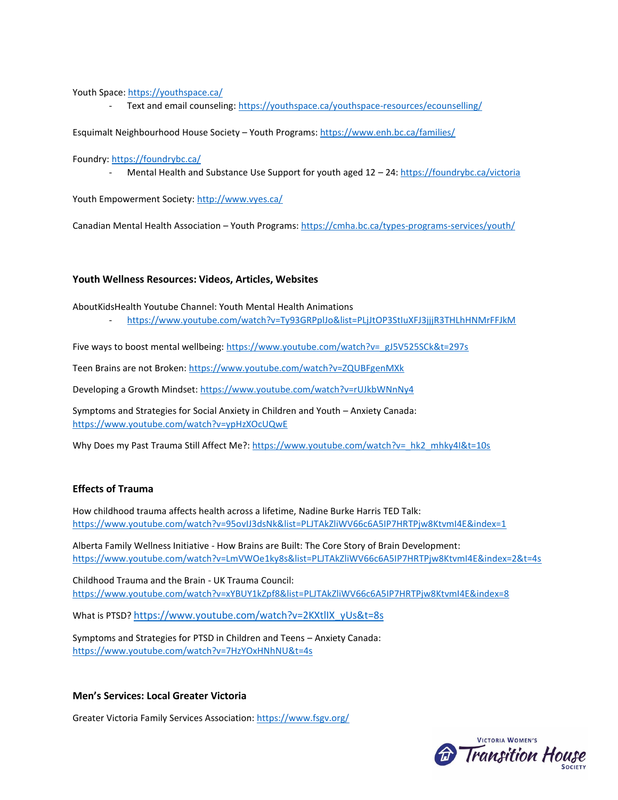Youth Space:<https://youthspace.ca/>

Text and email counseling:<https://youthspace.ca/youthspace-resources/ecounselling/>

Esquimalt Neighbourhood House Society – Youth Programs[: https://www.enh.bc.ca/families/](https://www.enh.bc.ca/families/)

Foundry[: https://foundrybc.ca/](https://foundrybc.ca/)

- Mental Health and Substance Use Support for youth aged 12 - 24:<https://foundrybc.ca/victoria>

Youth Empowerment Society:<http://www.vyes.ca/>

Canadian Mental Health Association – Youth Programs[: https://cmha.bc.ca/types-programs-services/youth/](https://cmha.bc.ca/types-programs-services/youth/)

#### **Youth Wellness Resources: Videos, Articles, Websites**

AboutKidsHealth Youtube Channel: Youth Mental Health Animations

- <https://www.youtube.com/watch?v=Ty93GRPplJo&list=PLjJtOP3StIuXFJ3jjjR3THLhHNMrFFJkM>

Five ways to boost mental wellbeing[: https://www.youtube.com/watch?v=\\_gJ5V525SCk&t=297s](https://www.youtube.com/watch?v=_gJ5V525SCk&t=297s)

Teen Brains are not Broken:<https://www.youtube.com/watch?v=ZQUBFgenMXk>

Developing a Growth Mindset[: https://www.youtube.com/watch?v=rUJkbWNnNy4](https://www.youtube.com/watch?v=rUJkbWNnNy4)

Symptoms and Strategies for Social Anxiety in Children and Youth – Anxiety Canada: <https://www.youtube.com/watch?v=ypHzXOcUQwE>

Why Does my Past Trauma Still Affect Me?: [https://www.youtube.com/watch?v=\\_hk2\\_mhky4I&t=10s](https://www.youtube.com/watch?v=_hk2_mhky4I&t=10s)

### **Effects of Trauma**

How childhood trauma affects health across a lifetime, Nadine Burke Harris TED Talk: <https://www.youtube.com/watch?v=95ovIJ3dsNk&list=PLJTAkZliWV66c6A5IP7HRTPjw8KtvmI4E&index=1>

Alberta Family Wellness Initiative - How Brains are Built: The Core Story of Brain Development: <https://www.youtube.com/watch?v=LmVWOe1ky8s&list=PLJTAkZliWV66c6A5IP7HRTPjw8KtvmI4E&index=2&t=4s>

Childhood Trauma and the Brain - UK Trauma Council: <https://www.youtube.com/watch?v=xYBUY1kZpf8&list=PLJTAkZliWV66c6A5IP7HRTPjw8KtvmI4E&index=8>

What is PTSD? [https://www.youtube.com/watch?v=2KXtlIX\\_yUs&t=8s](https://www.youtube.com/watch?v=2KXtlIX_yUs&t=8s)

Symptoms and Strategies for PTSD in Children and Teens – Anxiety Canada: <https://www.youtube.com/watch?v=7HzYOxHNhNU&t=4s>

# **Men's Services: Local Greater Victoria**

Greater Victoria Family Services Association[: https://www.fsgv.org/](https://www.fsgv.org/)

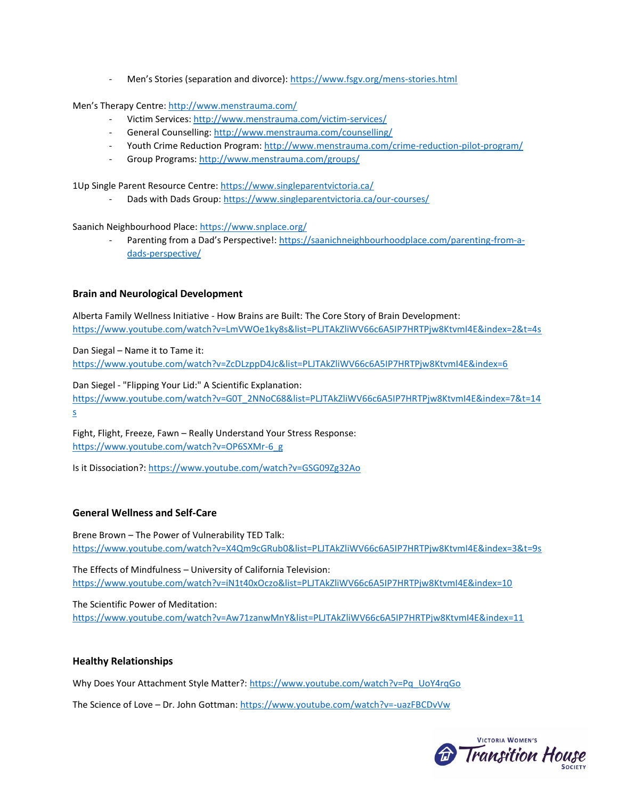- Men's Stories (separation and divorce): <https://www.fsgv.org/mens-stories.html>

Men's Therapy Centre:<http://www.menstrauma.com/>

- Victim Services:<http://www.menstrauma.com/victim-services/>
- General Counselling:<http://www.menstrauma.com/counselling/>
- Youth Crime Reduction Program:<http://www.menstrauma.com/crime-reduction-pilot-program/>
- Group Programs[: http://www.menstrauma.com/groups/](http://www.menstrauma.com/groups/)

1Up Single Parent Resource Centre:<https://www.singleparentvictoria.ca/>

Dads with Dads Group[: https://www.singleparentvictoria.ca/our-courses/](https://www.singleparentvictoria.ca/our-courses/)

Saanich Neighbourhood Place:<https://www.snplace.org/>

Parenting from a Dad's Perspective!: [https://saanichneighbourhoodplace.com/parenting-from-a](https://saanichneighbourhoodplace.com/parenting-from-a-dads-perspective/)[dads-perspective/](https://saanichneighbourhoodplace.com/parenting-from-a-dads-perspective/)

## **Brain and Neurological Development**

Alberta Family Wellness Initiative - How Brains are Built: The Core Story of Brain Development: <https://www.youtube.com/watch?v=LmVWOe1ky8s&list=PLJTAkZliWV66c6A5IP7HRTPjw8KtvmI4E&index=2&t=4s>

Dan Siegal – Name it to Tame it:

<https://www.youtube.com/watch?v=ZcDLzppD4Jc&list=PLJTAkZliWV66c6A5IP7HRTPjw8KtvmI4E&index=6>

Dan Siegel - "Flipping Your Lid:" A Scientific Explanation:

[https://www.youtube.com/watch?v=G0T\\_2NNoC68&list=PLJTAkZliWV66c6A5IP7HRTPjw8KtvmI4E&index=7&t=14](https://www.youtube.com/watch?v=G0T_2NNoC68&list=PLJTAkZliWV66c6A5IP7HRTPjw8KtvmI4E&index=7&t=14s) [s](https://www.youtube.com/watch?v=G0T_2NNoC68&list=PLJTAkZliWV66c6A5IP7HRTPjw8KtvmI4E&index=7&t=14s)

Fight, Flight, Freeze, Fawn – Really Understand Your Stress Response: [https://www.youtube.com/watch?v=OP6SXMr-6\\_g](https://www.youtube.com/watch?v=OP6SXMr-6_g)

Is it Dissociation?:<https://www.youtube.com/watch?v=GSG09Zg32Ao>

#### **General Wellness and Self-Care**

Brene Brown – The Power of Vulnerability TED Talk: <https://www.youtube.com/watch?v=X4Qm9cGRub0&list=PLJTAkZliWV66c6A5IP7HRTPjw8KtvmI4E&index=3&t=9s>

The Effects of Mindfulness – University of California Television: <https://www.youtube.com/watch?v=iN1t40xOczo&list=PLJTAkZliWV66c6A5IP7HRTPjw8KtvmI4E&index=10>

The Scientific Power of Meditation: <https://www.youtube.com/watch?v=Aw71zanwMnY&list=PLJTAkZliWV66c6A5IP7HRTPjw8KtvmI4E&index=11>

#### **Healthy Relationships**

Why Does Your Attachment Style Matter?: [https://www.youtube.com/watch?v=Pq\\_UoY4rqGo](https://www.youtube.com/watch?v=Pq_UoY4rqGo)

The Science of Love – Dr. John Gottman:<https://www.youtube.com/watch?v=-uazFBCDvVw>